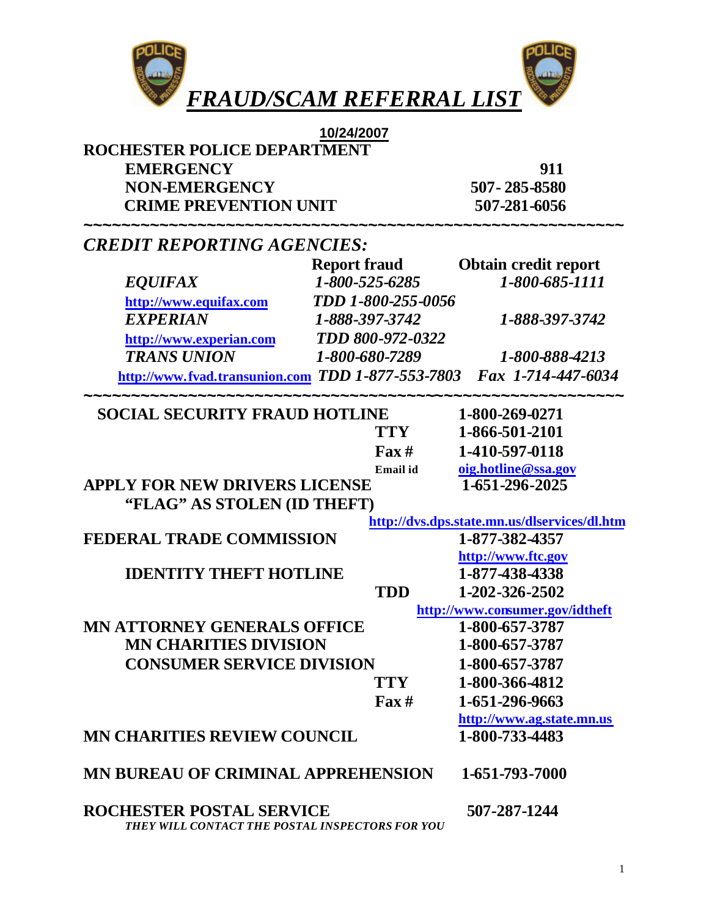

| 10/24/2007                                                                         |                              |                                              |  |
|------------------------------------------------------------------------------------|------------------------------|----------------------------------------------|--|
| ROCHESTER POLICE DEPARTMENT                                                        |                              |                                              |  |
| <b>EMERGENCY</b>                                                                   |                              | 911                                          |  |
| <b>NON-EMERGENCY</b>                                                               |                              | 507-285-8580                                 |  |
| <b>CRIME PREVENTION UNIT</b>                                                       |                              | 507-281-6056                                 |  |
| <b>CREDIT REPORTING AGENCIES:</b>                                                  | ,,,,,,,,,,,,,,,,,,,,,,,,,,,, |                                              |  |
|                                                                                    | <b>Report fraud</b>          | <b>Obtain credit report</b>                  |  |
| <b>EQUIFAX</b>                                                                     | 1-800-525-6285               | 1-800-685-1111                               |  |
| http://www.equifax.com                                                             | TDD 1-800-255-0056           |                                              |  |
| <b>EXPERIAN</b>                                                                    | 1-888-397-3742               | 1-888-397-3742                               |  |
| http://www.experian.com                                                            | TDD 800-972-0322             |                                              |  |
| <b>TRANS UNION</b>                                                                 | 1-800-680-7289               | 1-800-888-4213                               |  |
| http://www.fvad.transunion.com TDD 1-877-553-7803 Fax 1-714-447-6034               |                              |                                              |  |
| <b>SOCIAL SECURITY FRAUD HOTLINE</b>                                               |                              | 1-800-269-0271                               |  |
|                                                                                    | <b>TTY</b>                   | 1-866-501-2101                               |  |
|                                                                                    | $\Gamma$ ax #                | 1-410-597-0118                               |  |
|                                                                                    | Email id                     | oig.hotline@ssa.gov                          |  |
| <b>APPLY FOR NEW DRIVERS LICENSE</b>                                               |                              | 1-651-296-2025                               |  |
| "FLAG" AS STOLEN (ID THEFT)                                                        |                              |                                              |  |
|                                                                                    |                              | http://dvs.dps.state.mn.us/dlservices/dl.htm |  |
| FEDERAL TRADE COMMISSION                                                           |                              | 1-877-382-4357                               |  |
|                                                                                    |                              | http://www.ftc.gov                           |  |
| <b>IDENTITY THEFT HOTLINE</b>                                                      |                              | 1-877-438-4338                               |  |
|                                                                                    | <b>TDD</b>                   | 1-202-326-2502                               |  |
|                                                                                    |                              | http://www.consumer.gov/idtheft              |  |
| <b>MN ATTORNEY GENERALS OFFICE</b>                                                 |                              | 1-800-657-3787                               |  |
| <b>MN CHARITIES DIVISION</b>                                                       |                              | 1-800-657-3787                               |  |
| <b>CONSUMER SERVICE DIVISION</b>                                                   |                              | 1-800-657-3787                               |  |
|                                                                                    | <b>TTY</b>                   | 1-800-366-4812                               |  |
|                                                                                    | $\Gamma$ ax#                 | 1-651-296-9663                               |  |
|                                                                                    |                              | http://www.ag.state.mn.us                    |  |
| <b>MN CHARITIES REVIEW COUNCIL</b>                                                 |                              | 1-800-733-4483                               |  |
| <b>MN BUREAU OF CRIMINAL APPREHENSION</b>                                          |                              | 1-651-793-7000                               |  |
| <b>ROCHESTER POSTAL SERVICE</b><br>THEY WILL CONTACT THE POSTAL INSPECTORS FOR YOU |                              | 507-287-1244                                 |  |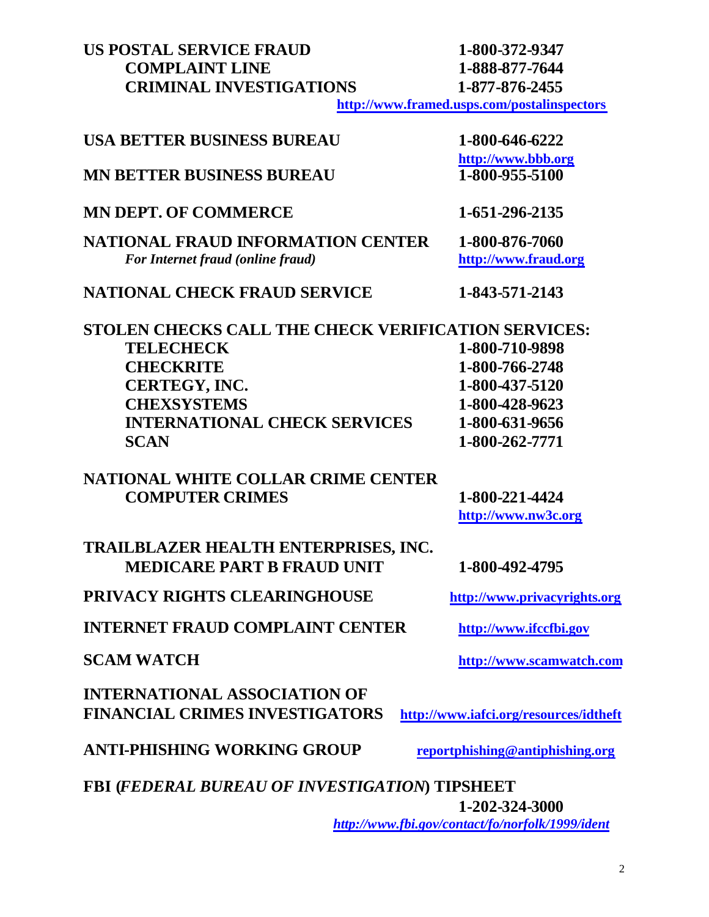# **US POSTAL SERVICE FRAUD** 1-800-372-9347<br> **1-888-877-7644**<br> **1-888-877-7644 COMPLAINT LINE CRIMINAL INVESTIGATIONS 1-877-876-2455**

**<http://www.framed.usps.com/postalinspectors>**

| <b>USA BETTER BUSINESS BUREAU</b>                                            | 1-800-646-6222                                   |
|------------------------------------------------------------------------------|--------------------------------------------------|
| <b>MN BETTER BUSINESS BUREAU</b>                                             | http://www.bbb.org<br>1-800-955-5100             |
| <b>MN DEPT. OF COMMERCE</b>                                                  | 1-651-296-2135                                   |
| <b>NATIONAL FRAUD INFORMATION CENTER</b>                                     | 1-800-876-7060                                   |
| For Internet fraud (online fraud)                                            | http://www.fraud.org                             |
| <b>NATIONAL CHECK FRAUD SERVICE</b>                                          | 1-843-571-2143                                   |
| STOLEN CHECKS CALL THE CHECK VERIFICATION SERVICES:                          |                                                  |
| <b>TELECHECK</b>                                                             | 1-800-710-9898                                   |
| <b>CHECKRITE</b>                                                             | 1-800-766-2748                                   |
| CERTEGY, INC.                                                                | 1-800-437-5120                                   |
| <b>CHEXSYSTEMS</b>                                                           | 1-800-428-9623                                   |
| <b>INTERNATIONAL CHECK SERVICES</b>                                          | 1-800-631-9656                                   |
| <b>SCAN</b>                                                                  | 1-800-262-7771                                   |
| <b>NATIONAL WHITE COLLAR CRIME CENTER</b>                                    |                                                  |
| <b>COMPUTER CRIMES</b>                                                       | 1-800-221-4424                                   |
|                                                                              | http://www.nw3c.org                              |
| TRAILBLAZER HEALTH ENTERPRISES, INC.<br><b>MEDICARE PART B FRAUD UNIT</b>    | 1-800-492-4795                                   |
| PRIVACY RIGHTS CLEARINGHOUSE                                                 | http://www.privacyrights.org                     |
| <b>INTERNET FRAUD COMPLAINT CENTER</b>                                       | http://www.ifccfbi.gov                           |
| <b>SCAM WATCH</b>                                                            | http://www.scamwatch.com                         |
| <b>INTERNATIONAL ASSOCIATION OF</b><br><b>FINANCIAL CRIMES INVESTIGATORS</b> | http://www.iafci.org/resources/idtheft           |
| <b>ANTI-PHISHING WORKING GROUP</b>                                           | reportphishing@antiphishing.org                  |
| <b>FBI (FEDERAL BUREAU OF INVESTIGATION) TIPSHEET</b>                        |                                                  |
|                                                                              | 1-202-324-3000                                   |
|                                                                              | http://www.fbi.gov/contact/fo/norfolk/1999/ident |

2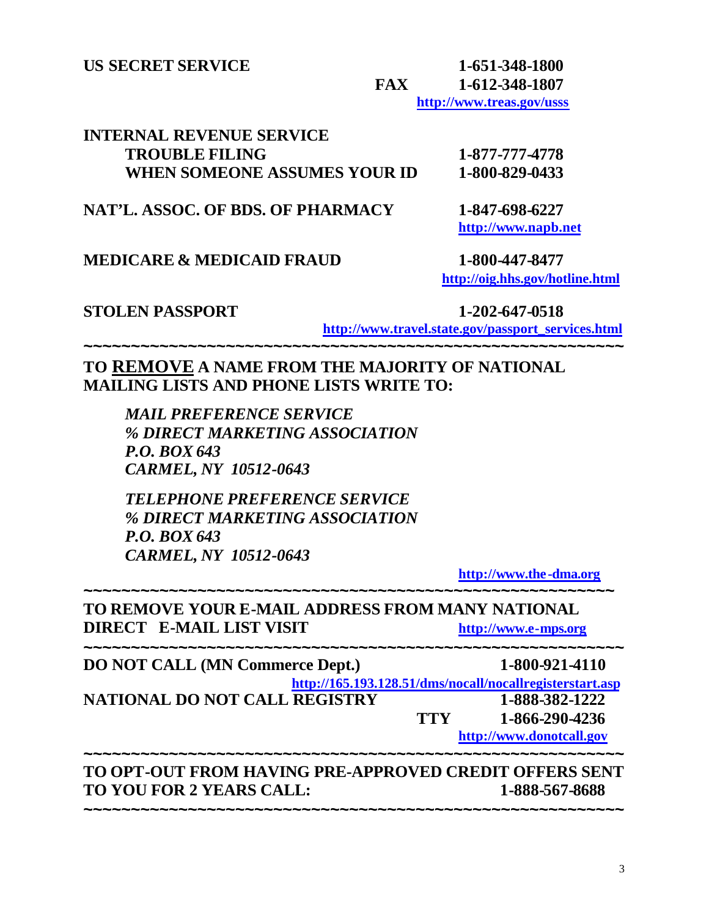**US SECRET SERVICE 1-651-348-1800 FAX 1-612-348-1807 <http://www.treas.gov/usss>**

| INTERNAL REVENUE SERVICE     |                |
|------------------------------|----------------|
| <b>TROUBLE FILING</b>        | 1-877-777-4778 |
| WHEN SOMEONE ASSUMES YOUR ID | 1-800-829-0433 |

**NAT'L. ASSOC. OF BDS. OF PHARMACY 1-847-698-6227**

**<http://www.napb.net>**

## **MEDICARE & MEDICAID FRAUD 1-800-447-8477**

 **<http://oig.hhs.gov/hotline.html>**

## **STOLEN PASSPORT 1-202-647-0518**

 **[http://www.travel.state.gov/passport\\_services.html](http://www.travel.state.gov/passport_services.html)**

## **TO REMOVE A NAME FROM THE MAJORITY OF NATIONAL MAILING LISTS AND PHONE LISTS WRITE TO:**

**~~~~~~~~~~~~~~~~~~~~~~~~~~~~~~~~~~~~~~~~~~~~~~~~~~~~~~~~~**

*MAIL PREFERENCE SERVICE % DIRECT MARKETING ASSOCIATION P.O. BOX 643 CARMEL, NY 10512-0643*

*TELEPHONE PREFERENCE SERVICE % DIRECT MARKETING ASSOCIATION P.O. BOX 643 CARMEL, NY 10512-0643*

**<http://www.the-dma.org>**

## **~~~~~~~~~~~~~~~~~~~~~~~~~~~~~~~~~~~~~~~~~~~~~~~~~~~~~~~~ TO REMOVE YOUR E-MAIL ADDRESS FROM MANY NATIONAL DIRECT E-MAIL LIST VISIT****<http://www.e-mps.org> ~~~~~~~~~~~~~~~~~~~~~~~~~~~~~~~~~~~~~~~~~~~~~~~~~~~~~~~~~ DO NOT CALL (MN Commerce Dept.) 1-800-921-4110 <http://165.193.128.51/dms/nocall/nocallregisterstart.asp> NATIONAL DO NOT CALL REGISTRY 1-888-382-1222 TTY 1-866-290-4236 <http://www.donotcall.gov> ~~~~~~~~~~~~~~~~~~~~~~~~~~~~~~~~~~~~~~~~~~~~~~~~~~~~~~~~~ TO OPT-OUT FROM HAVING PRE-APPROVED CREDIT OFFERS SENT TO YOU FOR 2 YEARS CALL: 1-888-567-8688**

**~~~~~~~~~~~~~~~~~~~~~~~~~~~~~~~~~~~~~~~~~~~~~~~~~~~~~~~~~**